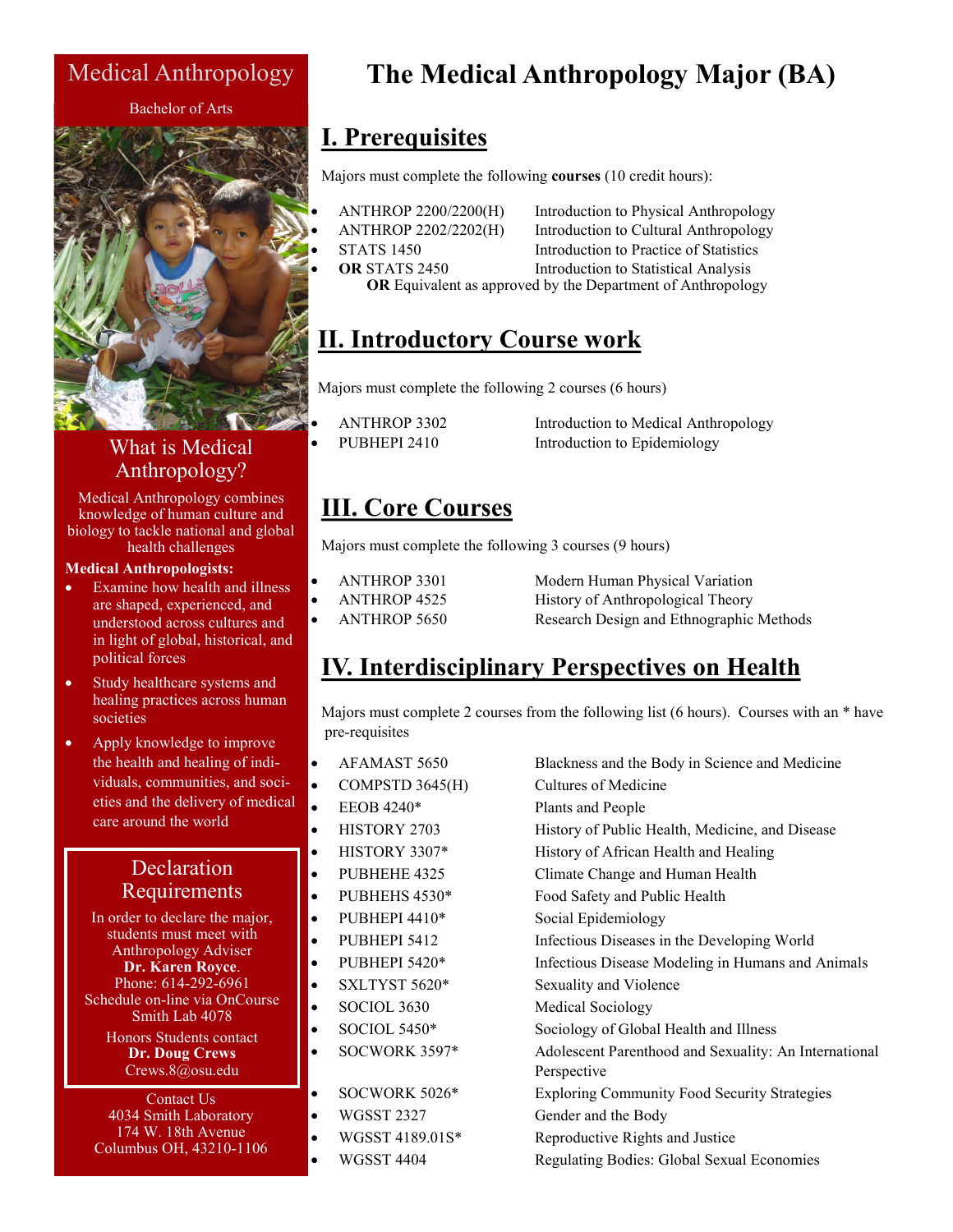### Medical Anthropology

#### Bachelor of Arts



### What is Medical Anthropology?

Medical Anthropology combines knowledge of human culture and biology to tackle national and global health challenges

#### **Medical Anthropologists:**

- Examine how health and illness are shaped, experienced, and understood across cultures and in light of global, historical, and political forces
- Study healthcare systems and healing practices across human societies
- Apply knowledge to improve the health and healing of individuals, communities, and societies and the delivery of medical care around the world

#### Declaration Requirements

In order to declare the major, students must meet with Anthropology Adviser **Dr. Karen Royce**. Phone: 614-292-6961 Schedule on-line via OnCourse Smith Lab 4078 Honors Students contact **Dr. Doug Crews**

Crews.8@osu.edu

Contact Us 4034 Smith Laboratory 174 W. 18th Avenue Columbus OH, 43210-1106

# **The Medical Anthropology Major (BA)**

## **I. Prerequisites**

Majors must complete the following **courses** (10 credit hours):

- 
- 

Introduction to Physical Anthropology • ANTHROP 2202/2202(H) Introduction to Cultural Anthropology STATS 1450 Introduction to Practice of Statistics **OR STATS 2450** Introduction to Statistical Analysis **OR** Equivalent as approved by the Department of Anthropology

# **II. Introductory Course work**

Majors must complete the following 2 courses (6 hours)

| <b>ANTHROP 3302</b> |  |  |
|---------------------|--|--|
| <b>PUBHEPL2410</b>  |  |  |

Introduction to Medical Anthropology Introduction to Epidemiology

### **III. Core Courses**

Majors must complete the following 3 courses (9 hours)

 $\overline{AB}$ 

• ANTHROP 3301 Modern Human Physical Variation ANTHROP 4525 History of Anthropological Theory • ANTHROP 5650 Research Design and Ethnographic Methods

# **IV. Interdisciplinary Perspectives on Health**

Majors must complete 2 courses from the following list (6 hours). Courses with an \* have pre-requisites

|    | $\bullet$ | AFAMAST 5650        | Blackness and the Body in Science and Medicine        |
|----|-----------|---------------------|-------------------------------------------------------|
| al | ٠         | COMPSTD 3645(H)     | Cultures of Medicine                                  |
|    | $\bullet$ | EEOB 4240*          | Plants and People                                     |
|    | $\bullet$ | HISTORY 2703        | History of Public Health, Medicine, and Disease       |
|    | ٠         | HISTORY 3307*       | History of African Health and Healing                 |
|    | $\bullet$ | PUBHEHE 4325        | Climate Change and Human Health                       |
|    | $\bullet$ | PUBHEHS 4530*       | Food Safety and Public Health                         |
|    | $\bullet$ | PUBHEPI 4410*       | Social Epidemiology                                   |
|    | $\bullet$ | PUBHEPI 5412        | Infectious Diseases in the Developing World           |
|    | $\bullet$ | PUBHEPI 5420*       | Infectious Disease Modeling in Humans and Animals     |
|    | $\bullet$ | SXLTYST 5620*       | Sexuality and Violence                                |
|    | $\bullet$ | SOCIOL 3630         | Medical Sociology                                     |
|    | $\bullet$ | <b>SOCIOL 5450*</b> | Sociology of Global Health and Illness                |
|    | $\bullet$ | SOCWORK 3597*       | Adolescent Parenthood and Sexuality: An International |
|    |           |                     | Perspective                                           |
|    | $\bullet$ | SOCWORK 5026*       | <b>Exploring Community Food Security Strategies</b>   |
|    | $\bullet$ | <b>WGSST 2327</b>   | Gender and the Body                                   |
|    | $\bullet$ | WGSST 4189.01S*     | Reproductive Rights and Justice                       |
|    |           | <b>WGSST 4404</b>   | Regulating Bodies: Global Sexual Economies            |
|    |           |                     |                                                       |